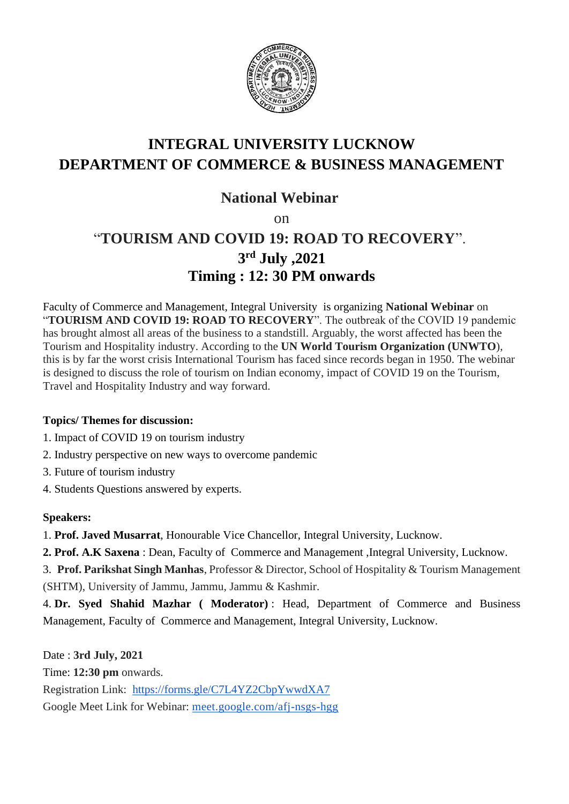

## **INTEGRAL UNIVERSITY LUCKNOW DEPARTMENT OF COMMERCE & BUSINESS MANAGEMENT**

### **National Webinar**

on

# "**TOURISM AND COVID 19: ROAD TO RECOVERY**". **3 rd July ,2021 Timing : 12: 30 PM onwards**

Faculty of Commerce and Management, Integral University is organizing **National Webinar** on "**TOURISM AND COVID 19: ROAD TO RECOVERY**". The outbreak of the COVID 19 pandemic has brought almost all areas of the business to a standstill. Arguably, the worst affected has been the Tourism and Hospitality industry. According to the **UN World Tourism Organization (UNWTO**), this is by far the worst crisis International Tourism has faced since records began in 1950. The webinar is designed to discuss the role of tourism on Indian economy, impact of COVID 19 on the Tourism, Travel and Hospitality Industry and way forward.

#### **Topics/ Themes for discussion:**

- 1. Impact of COVID 19 on tourism industry
- 2. Industry perspective on new ways to overcome pandemic
- 3. Future of tourism industry
- 4. Students Questions answered by experts.

#### **Speakers:**

1. **Prof. Javed Musarrat**, Honourable Vice Chancellor, Integral University, Lucknow.

**2. Prof. A.K Saxena** : Dean, Faculty of Commerce and Management ,Integral University, Lucknow.

3. **Prof. Parikshat Singh Manhas**, Professor & Director, School of Hospitality & Tourism Management (SHTM), University of Jammu, Jammu, Jammu & Kashmir.

4. **Dr. Syed Shahid Mazhar ( Moderator)** : Head, Department of Commerce and Business Management, Faculty of Commerce and Management, Integral University, Lucknow.

Date : **3rd July, 2021** Time: **12:30 pm** onwards. Registration Link: <https://forms.gle/C7L4YZ2CbpYwwdXA7> Google Meet Link for Webinar: [meet.google.com/afj-nsgs-hgg](http://meet.google.com/afj-nsgs-hgg)